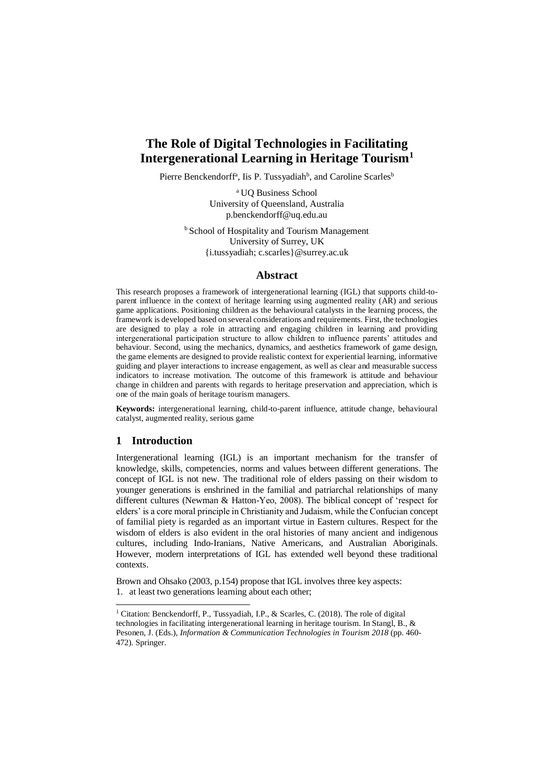# **The Role of Digital Technologies in Facilitating Intergenerational Learning in Heritage Tourism<sup>1</sup>**

Pierre Benckendorff<sup>a</sup>, Iis P. Tussyadiah<sup>b</sup>, and Caroline Scarles<sup>b</sup>

<sup>a</sup> UO Business School University of Queensland, Australia p.benckendorff@uq.edu.au

**b** School of Hospitality and Tourism Management University of Surrey, UK {i.tussyadiah; c.scarles}@surrey.ac.uk

#### **Abstract**

This research proposes a framework of intergenerational learning (IGL) that supports child-toparent influence in the context of heritage learning using augmented reality (AR) and serious game applications. Positioning children as the behavioural catalysts in the learning process, the framework is developed based on several considerations and requirements. First, the technologies are designed to play a role in attracting and engaging children in learning and providing intergenerational participation structure to allow children to influence parents' attitudes and behaviour. Second, using the mechanics, dynamics, and aesthetics framework of game design, the game elements are designed to provide realistic context for experiential learning, informative guiding and player interactions to increase engagement, as well as clear and measurable success indicators to increase motivation. The outcome of this framework is attitude and behaviour change in children and parents with regards to heritage preservation and appreciation, which is one of the main goals of heritage tourism managers.

**Keywords:** intergenerational learning, child-to-parent influence, attitude change, behavioural catalyst, augmented reality, serious game

#### **1 Introduction**

-

Intergenerational learning (IGL) is an important mechanism for the transfer of knowledge, skills, competencies, norms and values between different generations. The concept of IGL is not new. The traditional role of elders passing on their wisdom to younger generations is enshrined in the familial and patriarchal relationships of many different cultures (Newman & Hatton-Yeo, 2008). The biblical concept of 'respect for elders' is a core moral principle in Christianity and Judaism, while the Confucian concept of familial piety is regarded as an important virtue in Eastern cultures. Respect for the wisdom of elders is also evident in the oral histories of many ancient and indigenous cultures, including Indo-Iranians, Native Americans, and Australian Aboriginals. However, modern interpretations of IGL has extended well beyond these traditional contexts.

Brown and Ohsako (2003, p.154) propose that IGL involves three key aspects: 1. at least two generations learning about each other;

<sup>&</sup>lt;sup>1</sup> Citation: Benckendorff, P., Tussyadiah, I.P., & Scarles, C. (2018). The role of digital technologies in facilitating intergenerational learning in heritage tourism. In Stangl, B., & Pesonen, J. (Eds.), *Information & Communication Technologies in Tourism 2018* (pp. 460- 472). Springer.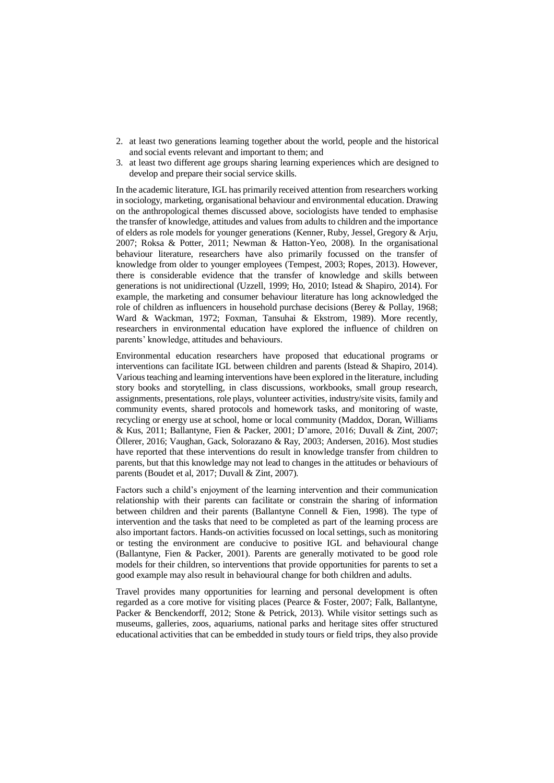- 2. at least two generations learning together about the world, people and the historical and social events relevant and important to them; and
- 3. at least two different age groups sharing learning experiences which are designed to develop and prepare their social service skills.

In the academic literature, IGL has primarily received attention from researchers working in sociology, marketing, organisational behaviour and environmental education. Drawing on the anthropological themes discussed above, sociologists have tended to emphasise the transfer of knowledge, attitudes and values from adults to children and the importance of elders as role models for younger generations (Kenner, Ruby, Jessel, Gregory & Arju, 2007; Roksa & Potter, 2011; Newman & Hatton-Yeo, 2008). In the organisational behaviour literature, researchers have also primarily focussed on the transfer of knowledge from older to younger employees (Tempest, 2003; Ropes, 2013). However, there is considerable evidence that the transfer of knowledge and skills between generations is not unidirectional (Uzzell, 1999; Ho, 2010; Istead & Shapiro, 2014). For example, the marketing and consumer behaviour literature has long acknowledged the role of children as influencers in household purchase decisions (Berey & Pollay, 1968; Ward & Wackman, 1972; Foxman, Tansuhai & Ekstrom, 1989). More recently, researchers in environmental education have explored the influence of children on parents' knowledge, attitudes and behaviours.

Environmental education researchers have proposed that educational programs or interventions can facilitate IGL between children and parents (Istead & Shapiro, 2014). Various teaching and learning interventions have been explored in the literature, including story books and storytelling, in class discussions, workbooks, small group research, assignments, presentations, role plays, volunteer activities, industry/site visits, family and community events, shared protocols and homework tasks, and monitoring of waste, recycling or energy use at school, home or local community (Maddox, Doran, Williams & Kus, 2011; Ballantyne, Fien & Packer, 2001; D'amore, 2016; Duvall & Zint, 2007; Öllerer, 2016; Vaughan, Gack, Solorazano & Ray, 2003; Andersen, 2016). Most studies have reported that these interventions do result in knowledge transfer from children to parents, but that this knowledge may not lead to changes in the attitudes or behaviours of parents (Boudet et al, 2017; Duvall & Zint, 2007).

Factors such a child's enjoyment of the learning intervention and their communication relationship with their parents can facilitate or constrain the sharing of information between children and their parents (Ballantyne Connell & Fien, 1998). The type of intervention and the tasks that need to be completed as part of the learning process are also important factors. Hands-on activities focussed on local settings, such as monitoring or testing the environment are conducive to positive IGL and behavioural change (Ballantyne, Fien & Packer, 2001). Parents are generally motivated to be good role models for their children, so interventions that provide opportunities for parents to set a good example may also result in behavioural change for both children and adults.

Travel provides many opportunities for learning and personal development is often regarded as a core motive for visiting places (Pearce & Foster, 2007; Falk, Ballantyne, Packer & Benckendorff, 2012; Stone & Petrick, 2013). While visitor settings such as museums, galleries, zoos, aquariums, national parks and heritage sites offer structured educational activities that can be embedded in study tours or field trips, they also provide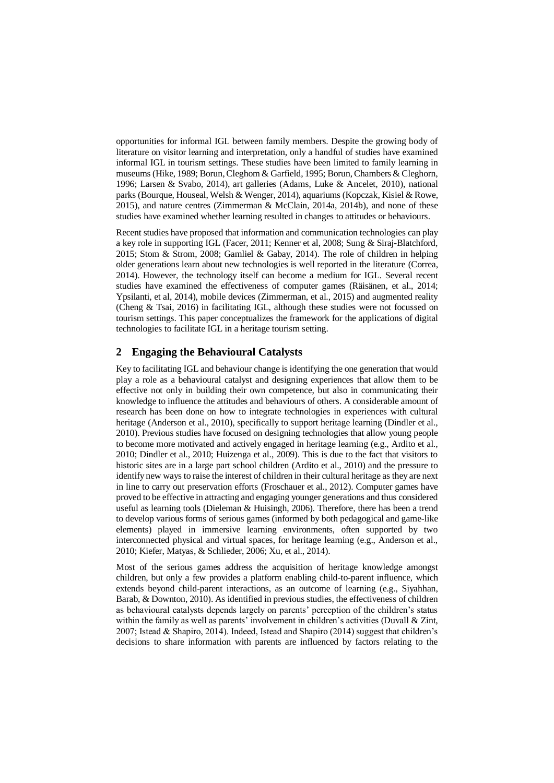opportunities for informal IGL between family members. Despite the growing body of literature on visitor learning and interpretation, only a handful of studies have examined informal IGL in tourism settings. These studies have been limited to family learning in museums (Hike, 1989; Borun, Cleghom & Garfield, 1995; Borun, Chambers & Cleghorn, 1996; Larsen & Svabo, 2014), art galleries (Adams, Luke & Ancelet, 2010), national parks (Bourque, Houseal, Welsh & Wenger, 2014), aquariums (Kopczak, Kisiel & Rowe, 2015), and nature centres (Zimmerman & McClain, 2014a, 2014b), and none of these studies have examined whether learning resulted in changes to attitudes or behaviours.

Recent studies have proposed that information and communication technologies can play a key role in supporting IGL (Facer, 2011; Kenner et al, 2008; Sung & Siraj-Blatchford, 2015; Stom & Strom, 2008; Gamliel & Gabay, 2014). The role of children in helping older generations learn about new technologies is well reported in the literature (Correa, 2014). However, the technology itself can become a medium for IGL. Several recent studies have examined the effectiveness of computer games (Räisänen, et al., 2014; Ypsilanti, et al, 2014), mobile devices (Zimmerman, et al., 2015) and augmented reality (Cheng & Tsai, 2016) in facilitating IGL, although these studies were not focussed on tourism settings. This paper conceptualizes the framework for the applications of digital technologies to facilitate IGL in a heritage tourism setting.

## **2 Engaging the Behavioural Catalysts**

Key to facilitating IGL and behaviour change is identifying the one generation that would play a role as a behavioural catalyst and designing experiences that allow them to be effective not only in building their own competence, but also in communicating their knowledge to influence the attitudes and behaviours of others. A considerable amount of research has been done on how to integrate technologies in experiences with cultural heritage (Anderson et al., 2010), specifically to support heritage learning (Dindler et al., 2010). Previous studies have focused on designing technologies that allow young people to become more motivated and actively engaged in heritage learning (e.g., Ardito et al., 2010; Dindler et al., 2010; Huizenga et al., 2009). This is due to the fact that visitors to historic sites are in a large part school children (Ardito et al., 2010) and the pressure to identify new ways to raise the interest of children in their cultural heritage as they are next in line to carry out preservation efforts (Froschauer et al., 2012). Computer games have proved to be effective in attracting and engaging younger generations and thus considered useful as learning tools (Dieleman & Huisingh, 2006). Therefore, there has been a trend to develop various forms of serious games (informed by both pedagogical and game-like elements) played in immersive learning environments, often supported by two interconnected physical and virtual spaces, for heritage learning (e.g., Anderson et al., 2010; Kiefer, Matyas, & Schlieder, 2006; Xu, et al., 2014).

Most of the serious games address the acquisition of heritage knowledge amongst children, but only a few provides a platform enabling child-to-parent influence, which extends beyond child-parent interactions, as an outcome of learning (e.g., Siyahhan, Barab, & Downton, 2010). As identified in previous studies, the effectiveness of children as behavioural catalysts depends largely on parents' perception of the children's status within the family as well as parents' involvement in children's activities (Duvall & Zint, 2007; Istead & Shapiro, 2014). Indeed, Istead and Shapiro (2014) suggest that children's decisions to share information with parents are influenced by factors relating to the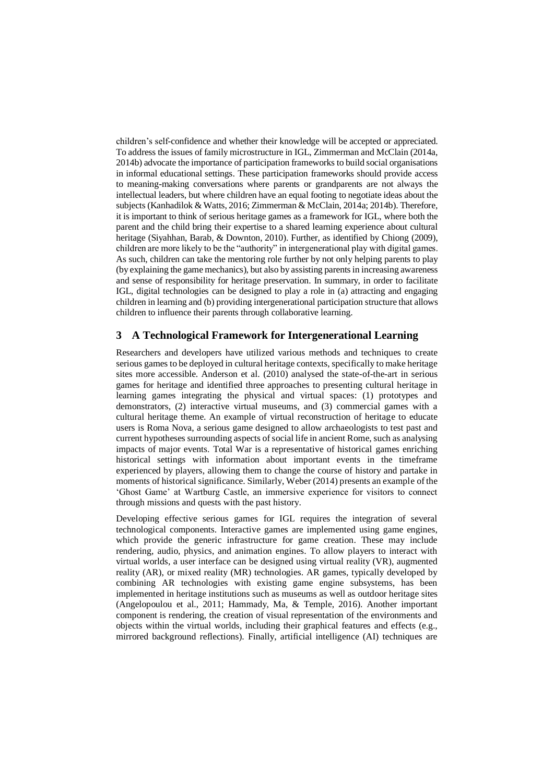children's self-confidence and whether their knowledge will be accepted or appreciated. To address the issues of family microstructure in IGL, Zimmerman and McClain (2014a, 2014b) advocate the importance of participation frameworks to build social organisations in informal educational settings. These participation frameworks should provide access to meaning-making conversations where parents or grandparents are not always the intellectual leaders, but where children have an equal footing to negotiate ideas about the subjects (Kanhadilok & Watts, 2016; Zimmerman & McClain, 2014a; 2014b). Therefore, it is important to think of serious heritage games as a framework for IGL, where both the parent and the child bring their expertise to a shared learning experience about cultural heritage (Siyahhan, Barab, & Downton, 2010). Further, as identified by Chiong (2009), children are more likely to be the "authority" in intergenerational play with digital games. As such, children can take the mentoring role further by not only helping parents to play (by explaining the game mechanics), but also by assisting parents in increasing awareness and sense of responsibility for heritage preservation. In summary, in order to facilitate IGL, digital technologies can be designed to play a role in (a) attracting and engaging children in learning and (b) providing intergenerational participation structure that allows children to influence their parents through collaborative learning.

## **3 A Technological Framework for Intergenerational Learning**

Researchers and developers have utilized various methods and techniques to create serious games to be deployed in cultural heritage contexts, specifically to make heritage sites more accessible. Anderson et al. (2010) analysed the state-of-the-art in serious games for heritage and identified three approaches to presenting cultural heritage in learning games integrating the physical and virtual spaces: (1) prototypes and demonstrators, (2) interactive virtual museums, and (3) commercial games with a cultural heritage theme. An example of virtual reconstruction of heritage to educate users is Roma Nova, a serious game designed to allow archaeologists to test past and current hypotheses surrounding aspects of social life in ancient Rome, such as analysing impacts of major events. Total War is a representative of historical games enriching historical settings with information about important events in the timeframe experienced by players, allowing them to change the course of history and partake in moments of historical significance. Similarly, Weber (2014) presents an example of the 'Ghost Game' at Wartburg Castle, an immersive experience for visitors to connect through missions and quests with the past history.

Developing effective serious games for IGL requires the integration of several technological components. Interactive games are implemented using game engines, which provide the generic infrastructure for game creation. These may include rendering, audio, physics, and animation engines. To allow players to interact with virtual worlds, a user interface can be designed using virtual reality (VR), augmented reality (AR), or mixed reality (MR) technologies. AR games, typically developed by combining AR technologies with existing game engine subsystems, has been implemented in heritage institutions such as museums as well as outdoor heritage sites (Angelopoulou et al., 2011; Hammady, Ma, & Temple, 2016). Another important component is rendering, the creation of visual representation of the environments and objects within the virtual worlds, including their graphical features and effects (e.g., mirrored background reflections). Finally, artificial intelligence (AI) techniques are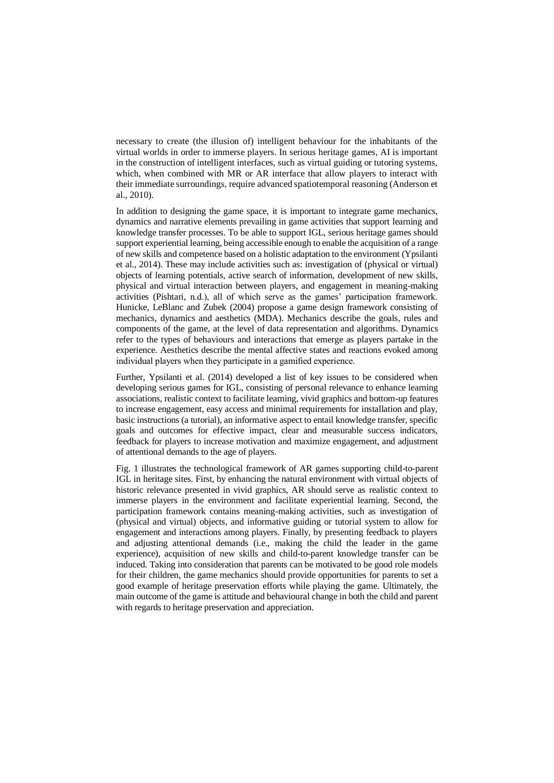necessary to create (the illusion of) intelligent behaviour for the inhabitants of the virtual worlds in order to immerse players. In serious heritage games, AI is important in the construction of intelligent interfaces, such as virtual guiding or tutoring systems, which, when combined with MR or AR interface that allow players to interact with their immediate surroundings, require advanced spatiotemporal reasoning (Anderson et al., 2010).

In addition to designing the game space, it is important to integrate game mechanics, dynamics and narrative elements prevailing in game activities that support learning and knowledge transfer processes. To be able to support IGL, serious heritage games should support experiential learning, being accessible enough to enable the acquisition of a range of new skills and competence based on a holistic adaptation to the environment (Ypsilanti et al., 2014). These may include activities such as: investigation of (physical or virtual) objects of learning potentials, active search of information, development of new skills, physical and virtual interaction between players, and engagement in meaning-making activities (Pishtari, n.d.), all of which serve as the games' participation framework. Hunicke, LeBlanc and Zubek (2004) propose a game design framework consisting of mechanics, dynamics and aesthetics (MDA). Mechanics describe the goals, rules and components of the game, at the level of data representation and algorithms. Dynamics refer to the types of behaviours and interactions that emerge as players partake in the experience. Aesthetics describe the mental affective states and reactions evoked among individual players when they participate in a gamified experience.

Further, Ypsilanti et al. (2014) developed a list of key issues to be considered when developing serious games for IGL, consisting of personal relevance to enhance learning associations, realistic context to facilitate learning, vivid graphics and bottom-up features to increase engagement, easy access and minimal requirements for installation and play, basic instructions (a tutorial), an informative aspect to entail knowledge transfer, specific goals and outcomes for effective impact, clear and measurable success indicators, feedback for players to increase motivation and maximize engagement, and adjustment of attentional demands to the age of players.

Fig. 1 illustrates the technological framework of AR games supporting child-to-parent IGL in heritage sites. First, by enhancing the natural environment with virtual objects of historic relevance presented in vivid graphics, AR should serve as realistic context to immerse players in the environment and facilitate experiential learning. Second, the participation framework contains meaning-making activities, such as investigation of (physical and virtual) objects, and informative guiding or tutorial system to allow for engagement and interactions among players. Finally, by presenting feedback to players and adjusting attentional demands (i.e., making the child the leader in the game experience), acquisition of new skills and child-to-parent knowledge transfer can be induced. Taking into consideration that parents can be motivated to be good role models for their children, the game mechanics should provide opportunities for parents to set a good example of heritage preservation efforts while playing the game. Ultimately, the main outcome of the game is attitude and behavioural change in both the child and parent with regards to heritage preservation and appreciation.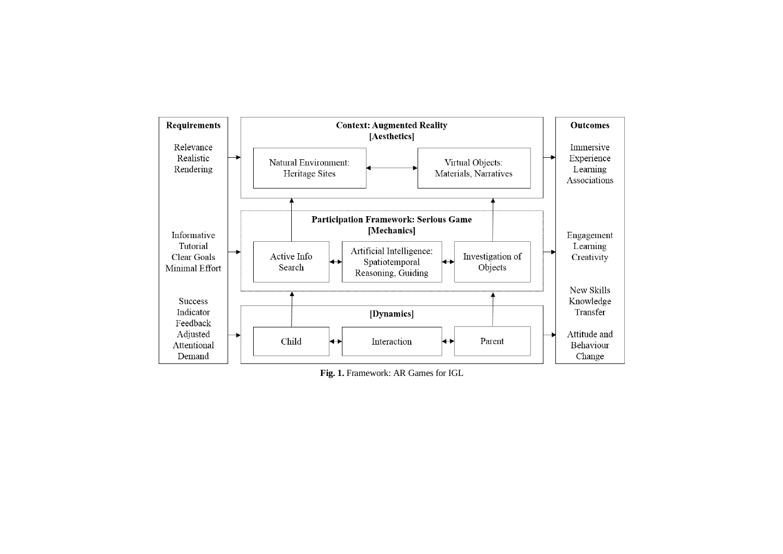

**Fig. 1.** Framework: AR Games for IGL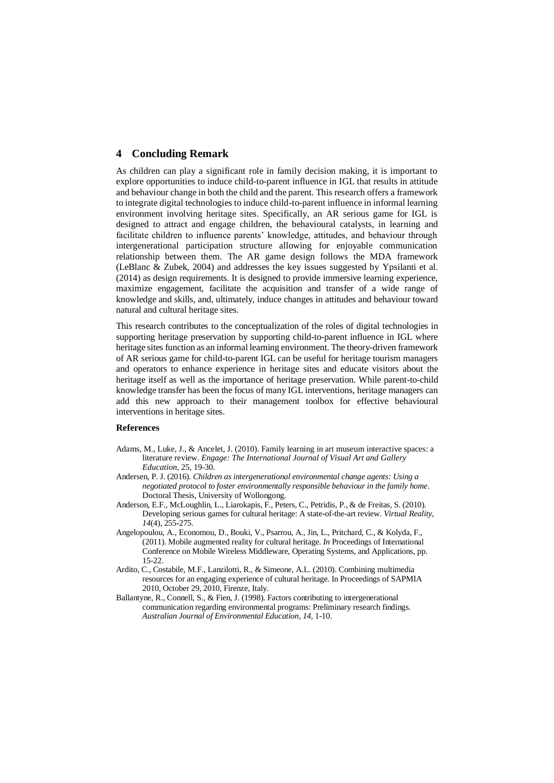### **4 Concluding Remark**

As children can play a significant role in family decision making, it is important to explore opportunities to induce child-to-parent influence in IGL that results in attitude and behaviour change in both the child and the parent. This research offers a framework to integrate digital technologies to induce child-to-parent influence in informal learning environment involving heritage sites. Specifically, an AR serious game for IGL is designed to attract and engage children, the behavioural catalysts, in learning and facilitate children to influence parents' knowledge, attitudes, and behaviour through intergenerational participation structure allowing for enjoyable communication relationship between them. The AR game design follows the MDA framework (LeBlanc & Zubek, 2004) and addresses the key issues suggested by Ypsilanti et al. (2014) as design requirements. It is designed to provide immersive learning experience, maximize engagement, facilitate the acquisition and transfer of a wide range of knowledge and skills, and, ultimately, induce changes in attitudes and behaviour toward natural and cultural heritage sites.

This research contributes to the conceptualization of the roles of digital technologies in supporting heritage preservation by supporting child-to-parent influence in IGL where heritage sites function as an informal learning environment. The theory-driven framework of AR serious game for child-to-parent IGL can be useful for heritage tourism managers and operators to enhance experience in heritage sites and educate visitors about the heritage itself as well as the importance of heritage preservation. While parent-to-child knowledge transfer has been the focus of many IGL interventions, heritage managers can add this new approach to their management toolbox for effective behavioural interventions in heritage sites.

#### **References**

- Adams, M., Luke, J., & Ancelet, J. (2010). Family learning in art museum interactive spaces: a literature review. *Engage: The International Journal of Visual Art and Gallery Education*, 25, 19-30.
- Andersen, P. J. (2016). *Children as intergenerational environmental change agents: Using a negotiated protocol to foster environmentally responsible behaviour in the family home*. Doctoral Thesis, University of Wollongong.
- Anderson, E.F., McLoughlin, L., Liarokapis, F., Peters, C., Petridis, P., & de Freitas, S. (2010). Developing serious games for cultural heritage: A state-of-the-art review. *Virtual Reality, 14*(4), 255-275.
- Angelopoulou, A., Economou, D., Bouki, V., Psarrou, A., Jin, L., Pritchard, C., & Kolyda, F., (2011). Mobile augmented reality for cultural heritage. *In* Proceedings of International Conference on Mobile Wireless Middleware, Operating Systems, and Applications, pp. 15-22.
- Ardito, C., Costabile, M.F., Lanzilotti, R., & Simeone, A.L. (2010). Combining multimedia resources for an engaging experience of cultural heritage. In Proceedings of SAPMIA 2010, October 29, 2010, Firenze, Italy.
- Ballantyne, R., Connell, S., & Fien, J. (1998). Factors contributing to intergenerational communication regarding environmental programs: Preliminary research findings. *Australian Journal of Environmental Education*, *14*, 1-10.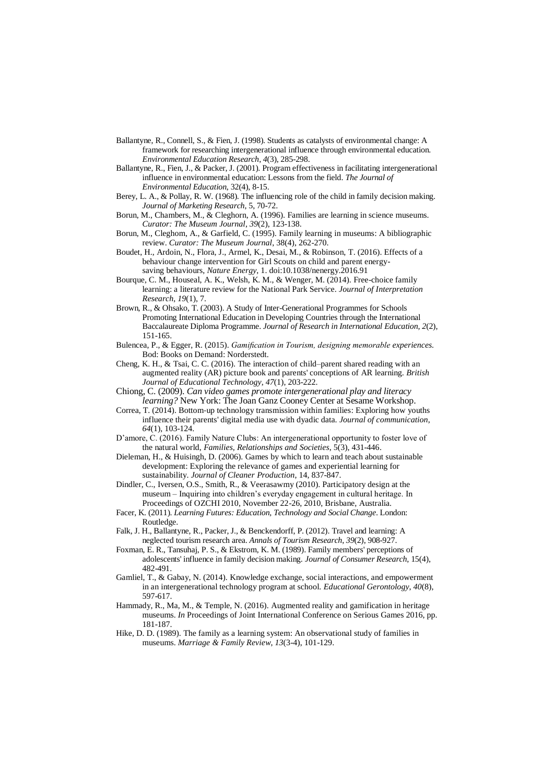- Ballantyne, R., Connell, S., & Fien, J. (1998). Students as catalysts of environmental change: A framework for researching intergenerational influence through environmental education. *Environmental Education Research*, *4*(3), 285-298.
- Ballantyne, R., Fien, J., & Packer, J. (2001). Program effectiveness in facilitating intergenerational influence in environmental education: Lessons from the field. *The Journal of Environmental Education*, 32(4), 8-15.
- Berey, L. A., & Pollay, R. W. (1968). The influencing role of the child in family decision making. *Journal of Marketing Research*, 5, 70-72.
- Borun, M., Chambers, M., & Cleghorn, A. (1996). Families are learning in science museums. *Curator: The Museum Journal*, *39*(2), 123-138.
- Borun, M., Cleghom, A., & Garfield, C. (1995). Family learning in museums: A bibliographic review. *Curator: The Museum Journal*, 38(4), 262-270.
- Boudet, H., Ardoin, N., Flora, J., Armel, K., Desai, M., & Robinson, T. (2016). Effects of a behaviour change intervention for Girl Scouts on child and parent energysaving behaviours, *Nature Energy*, 1. doi:10.1038/nenergy.2016.91
- Bourque, C. M., Houseal, A. K., Welsh, K. M., & Wenger, M. (2014). Free-choice family learning: a literature review for the National Park Service. *Journal of Interpretation Research*, *19*(1), 7.
- Brown, R., & Ohsako, T. (2003). A Study of Inter-Generational Programmes for Schools Promoting International Education in Developing Countries through the International Baccalaureate Diploma Programme. *Journal of Research in International Education, 2*(2), 151-165.
- Bulencea, P., & Egger, R. (2015). *Gamification in Tourism, designing memorable experiences.* Bod: Books on Demand: Norderstedt.
- Cheng, K. H., & Tsai, C. C. (2016). The interaction of child–parent shared reading with an augmented reality (AR) picture book and parents' conceptions of AR learning. *British Journal of Educational Technology*, *47*(1), 203-222.
- Chiong, C. (2009). *Can video games promote intergenerational play and literacy learning?* New York: The Joan Ganz Cooney Center at Sesame Workshop.
- Correa, T. (2014). Bottom‐up technology transmission within families: Exploring how youths influence their parents' digital media use with dyadic data. *Journal of communication*, *64*(1), 103-124.
- D'amore, C. (2016). Family Nature Clubs: An intergenerational opportunity to foster love of the natural world, *Families, Relationships and Societies*, 5(3), 431-446.
- Dieleman, H., & Huisingh, D. (2006). Games by which to learn and teach about sustainable development: Exploring the relevance of games and experiential learning for sustainability. *Journal of Cleaner Production*, 14, 837-847.
- Dindler, C., Iversen, O.S., Smith, R., & Veerasawmy (2010). Participatory design at the museum – Inquiring into children's everyday engagement in cultural heritage. In Proceedings of OZCHI 2010, November 22-26, 2010, Brisbane, Australia.
- Facer, K. (2011). *Learning Futures: Education, Technology and Social Change*. London: Routledge.
- Falk, J. H., Ballantyne, R., Packer, J., & Benckendorff, P. (2012). Travel and learning: A neglected tourism research area. *Annals of Tourism Research*, *39*(2), 908-927.
- Foxman, E. R., Tansuhaj, P. S., & Ekstrom, K. M. (1989). Family members' perceptions of adolescents' influence in family decision making. *Journal of Consumer Research*, 15(4), 482-491.
- Gamliel, T., & Gabay, N. (2014). Knowledge exchange, social interactions, and empowerment in an intergenerational technology program at school. *Educational Gerontology*, *40*(8), 597-617.
- Hammady, R., Ma, M., & Temple, N. (2016). Augmented reality and gamification in heritage museums. *In* Proceedings of Joint International Conference on Serious Games 2016, pp. 181-187.
- Hike, D. D. (1989). The family as a learning system: An observational study of families in museums. *Marriage & Family Review*, *13*(3-4), 101-129.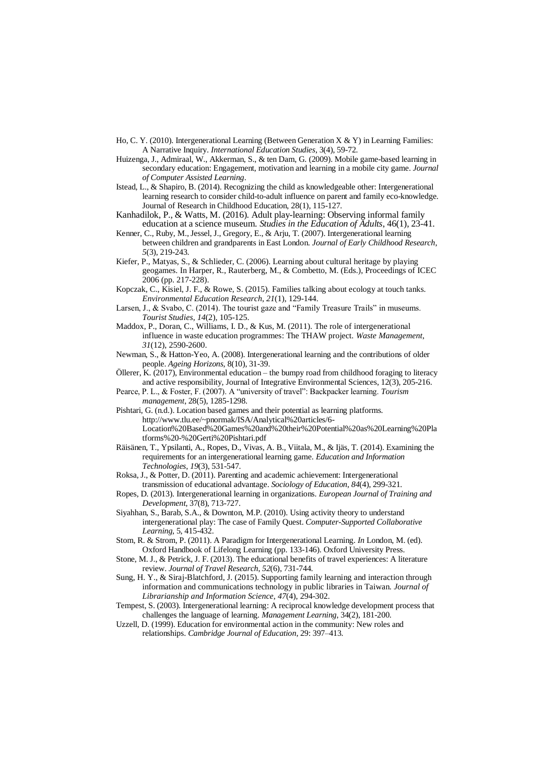- Ho, C. Y. (2010). Intergenerational Learning (Between Generation  $X \& Y$ ) in Learning Families: A Narrative Inquiry. *International Education Studies*, 3(4), 59-72.
- Huizenga, J., Admiraal, W., Akkerman, S., & ten Dam, G. (2009). Mobile game-based learning in secondary education: Engagement, motivation and learning in a mobile city game. *Journal of Computer Assisted Learning*.
- Istead, L., & Shapiro, B. (2014). Recognizing the child as knowledgeable other: Intergenerational learning research to consider child-to-adult influence on parent and family eco-knowledge. Journal of Research in Childhood Education, 28(1), 115-127.
- Kanhadilok, P., & Watts, M. (2016). Adult play-learning: Observing informal family education at a science museum. *Studies in the Education of Adults*, 46(1), 23-41.
- Kenner, C., Ruby, M., Jessel, J., Gregory, E., & Arju, T. (2007). Intergenerational learning between children and grandparents in East London. *Journal of Early Childhood Research*, *5*(3), 219-243.
- Kiefer, P., Matyas, S., & Schlieder, C. (2006). Learning about cultural heritage by playing geogames. In Harper, R., Rauterberg, M., & Combetto, M. (Eds.), Proceedings of ICEC 2006 (pp. 217-228).
- Kopczak, C., Kisiel, J. F., & Rowe, S. (2015). Families talking about ecology at touch tanks. *Environmental Education Research*, *21*(1), 129-144.
- Larsen, J., & Svabo, C. (2014). The tourist gaze and "Family Treasure Trails" in museums. *Tourist Studies*, *14*(2), 105-125.
- Maddox, P., Doran, C., Williams, I. D., & Kus, M. (2011). The role of intergenerational influence in waste education programmes: The THAW project. *Waste Management*, *31*(12), 2590-2600.
- Newman, S., & Hatton-Yeo, A. (2008). Intergenerational learning and the contributions of older people. *Ageing Horizons*, 8(10), 31-39.
- Öllerer, K. (2017), Environmental education the bumpy road from childhood foraging to literacy and active responsibility, Journal of Integrative Environmental Sciences, 12(3), 205-216.
- Pearce, P. L., & Foster, F. (2007). A "university of travel": Backpacker learning. *Tourism management*, 28(5), 1285-1298.
- Pishtari, G. (n.d.). Location based games and their potential as learning platforms. http://www.tlu.ee/~pnormak/ISA/Analytical%20articles/6- Location%20Based%20Games%20and%20their%20Potential%20as%20Learning%20Pla tforms%20-%20Gerti%20Pishtari.pdf
- Räisänen, T., Ypsilanti, A., Ropes, D., Vivas, A. B., Viitala, M., & Ijäs, T. (2014). Examining the requirements for an intergenerational learning game. *Education and Information Technologies*, *19*(3), 531-547.
- Roksa, J., & Potter, D. (2011). Parenting and academic achievement: Intergenerational transmission of educational advantage. *Sociology of Education*, *84*(4), 299-321.
- Ropes, D. (2013). Intergenerational learning in organizations. *European Journal of Training and Development*, 37(8), 713-727.
- Siyahhan, S., Barab, S.A., & Downton, M.P. (2010). Using activity theory to understand intergenerational play: The case of Family Quest. *Computer-Supported Collaborative Learning*, 5, 415-432.
- Stom, R. & Strom, P. (2011). A Paradigm for Intergenerational Learning. *In* London, M. (ed). Oxford Handbook of Lifelong Learning (pp. 133-146). Oxford University Press.
- Stone, M. J., & Petrick, J. F. (2013). The educational benefits of travel experiences: A literature review. *Journal of Travel Research*, *52*(6), 731-744.
- Sung, H. Y., & Siraj-Blatchford, J. (2015). Supporting family learning and interaction through information and communications technology in public libraries in Taiwan. *Journal of Librarianship and Information Science*, *47*(4), 294-302.
- Tempest, S. (2003). Intergenerational learning: A reciprocal knowledge development process that challenges the language of learning. *Management Learning*, 34(2), 181-200.
- Uzzell, D. (1999). Education for environmental action in the community: New roles and relationships. *Cambridge Journal of Education*, 29: 397–413.